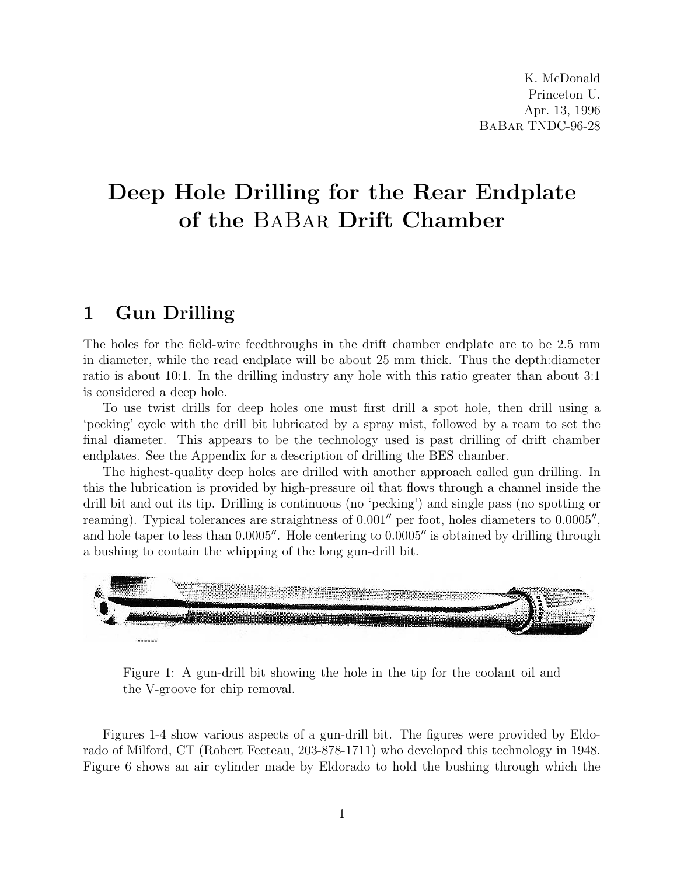K. McDonald Princeton U. Apr. 13, 1996 BaBar TNDC-96-28

## Deep Hole Drilling for the Rear Endplate of the BaBar Drift Chamber

## 1 Gun Drilling

The holes for the field-wire feedthroughs in the drift chamber endplate are to be 2.5 mm in diameter, while the read endplate will be about 25 mm thick. Thus the depth:diameter ratio is about 10:1. In the drilling industry any hole with this ratio greater than about 3:1 is considered a deep hole.

To use twist drills for deep holes one must first drill a spot hole, then drill using a 'pecking' cycle with the drill bit lubricated by a spray mist, followed by a ream to set the final diameter. This appears to be the technology used is past drilling of drift chamber endplates. See the Appendix for a description of drilling the BES chamber.

The highest-quality deep holes are drilled with another approach called gun drilling. In this the lubrication is provided by high-pressure oil that flows through a channel inside the drill bit and out its tip. Drilling is continuous (no 'pecking') and single pass (no spotting or reaming). Typical tolerances are straightness of  $0.001''$  per foot, holes diameters to  $0.0005''$ , and hole taper to less than  $0.0005$ . Hole centering to  $0.0005$  is obtained by drilling through a bushing to contain the whipping of the long gun-drill bit.



Figure 1: A gun-drill bit showing the hole in the tip for the coolant oil and the V-groove for chip removal.

Figures 1-4 show various aspects of a gun-drill bit. The figures were provided by Eldorado of Milford, CT (Robert Fecteau, 203-878-1711) who developed this technology in 1948. Figure 6 shows an air cylinder made by Eldorado to hold the bushing through which the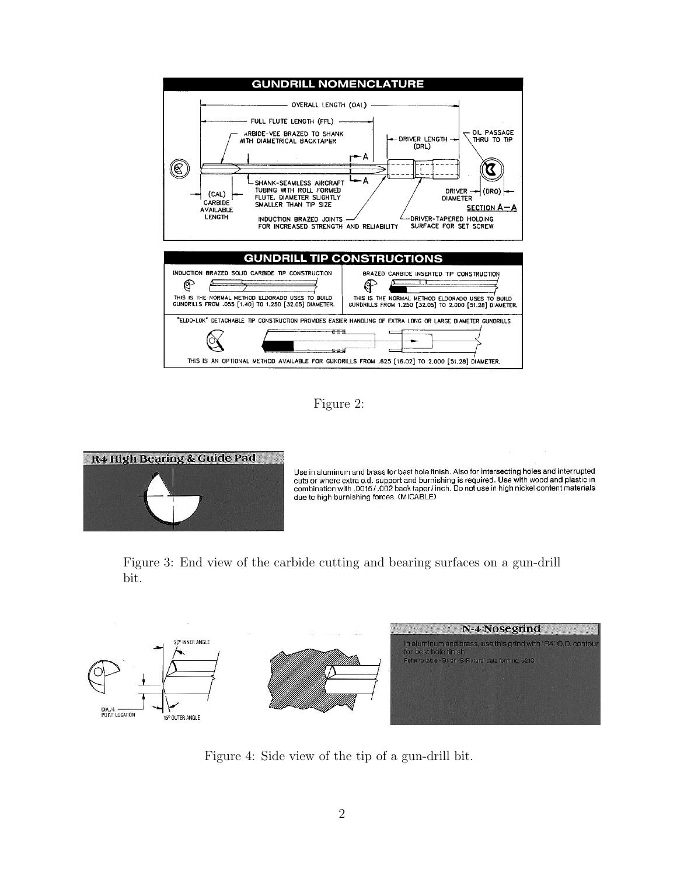

Figure 2:



Use in aluminum and brass for best hole finish. Also for intersecting holes and interrupted Use in aluminum and prass for best note finish. Also for intersecting holes and interrupted<br>cuts or where extra o.d. support and burnishing is required. Use with wood and plastic in<br>combination with .0015/.002 back taper/i due to high burnishing forces. (MICABLE)

Figure 3: End view of the carbide cutting and bearing surfaces on a gun-drill bit.



Figure 4: Side view of the tip of a gun-drill bit.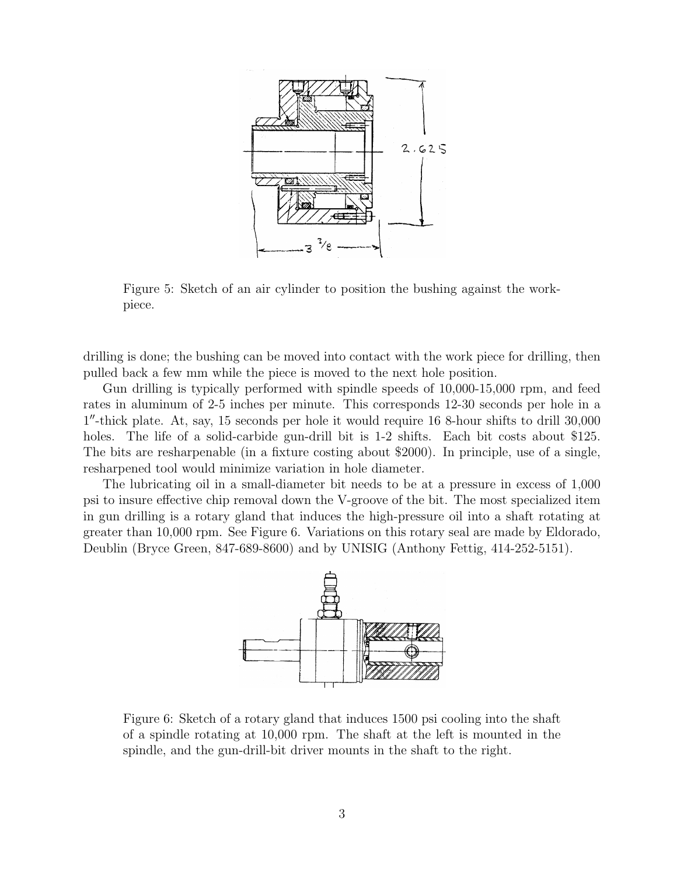

Figure 5: Sketch of an air cylinder to position the bushing against the workpiece.

drilling is done; the bushing can be moved into contact with the work piece for drilling, then pulled back a few mm while the piece is moved to the next hole position.

Gun drilling is typically performed with spindle speeds of 10,000-15,000 rpm, and feed rates in aluminum of 2-5 inches per minute. This corresponds 12-30 seconds per hole in a 1 <sup>00</sup>-thick plate. At, say, 15 seconds per hole it would require 16 8-hour shifts to drill 30,000 holes. The life of a solid-carbide gun-drill bit is 1-2 shifts. Each bit costs about \$125. The bits are resharpenable (in a fixture costing about \$2000). In principle, use of a single, resharpened tool would minimize variation in hole diameter.

The lubricating oil in a small-diameter bit needs to be at a pressure in excess of 1,000 psi to insure effective chip removal down the V-groove of the bit. The most specialized item in gun drilling is a rotary gland that induces the high-pressure oil into a shaft rotating at greater than 10,000 rpm. See Figure 6. Variations on this rotary seal are made by Eldorado, Deublin (Bryce Green, 847-689-8600) and by UNISIG (Anthony Fettig, 414-252-5151).



Figure 6: Sketch of a rotary gland that induces 1500 psi cooling into the shaft of a spindle rotating at 10,000 rpm. The shaft at the left is mounted in the spindle, and the gun-drill-bit driver mounts in the shaft to the right.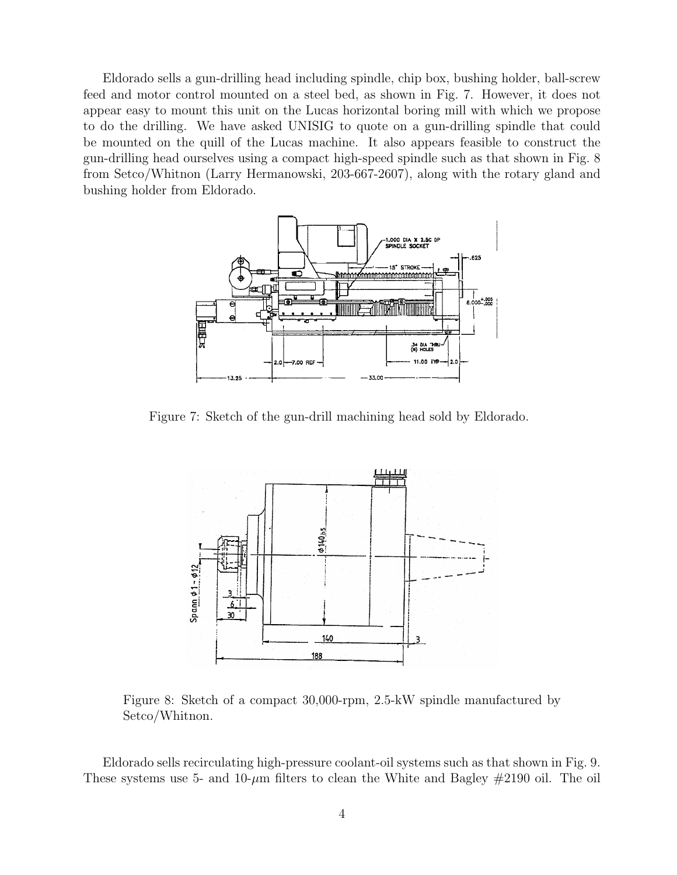Eldorado sells a gun-drilling head including spindle, chip box, bushing holder, ball-screw feed and motor control mounted on a steel bed, as shown in Fig. 7. However, it does not appear easy to mount this unit on the Lucas horizontal boring mill with which we propose to do the drilling. We have asked UNISIG to quote on a gun-drilling spindle that could be mounted on the quill of the Lucas machine. It also appears feasible to construct the gun-drilling head ourselves using a compact high-speed spindle such as that shown in Fig. 8 from Setco/Whitnon (Larry Hermanowski, 203-667-2607), along with the rotary gland and bushing holder from Eldorado.



Figure 7: Sketch of the gun-drill machining head sold by Eldorado.



Figure 8: Sketch of a compact 30,000-rpm, 2.5-kW spindle manufactured by Setco/Whitnon.

Eldorado sells recirculating high-pressure coolant-oil systems such as that shown in Fig. 9. These systems use 5- and 10- $\mu$ m filters to clean the White and Bagley  $\#2190$  oil. The oil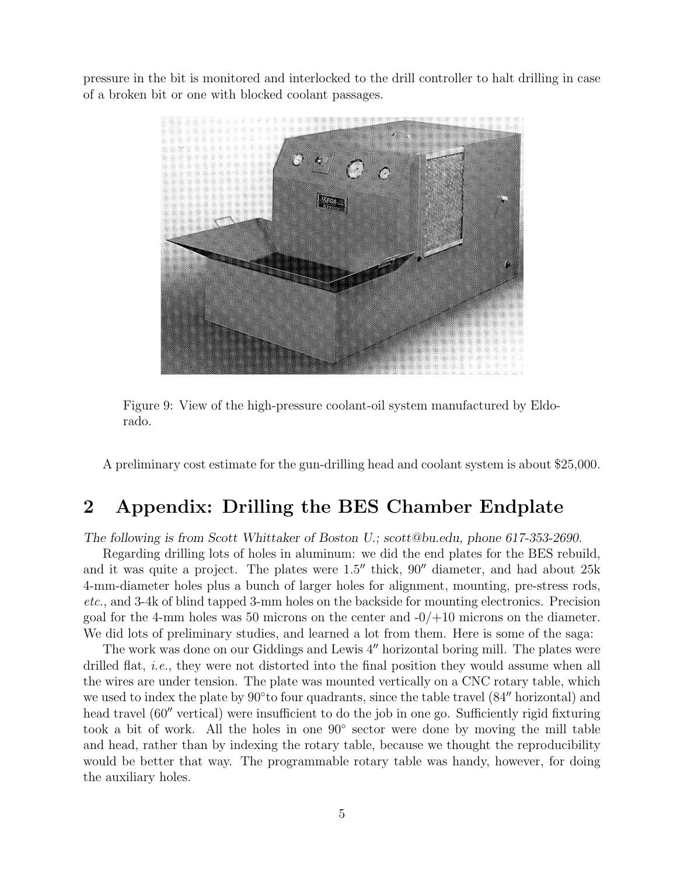pressure in the bit is monitored and interlocked to the drill controller to halt drilling in case of a broken bit or one with blocked coolant passages.



Figure 9: View of the high-pressure coolant-oil system manufactured by Eldorado.

A preliminary cost estimate for the gun-drilling head and coolant system is about \$25,000.

## 2 Appendix: Drilling the BES Chamber Endplate

The following is from Scott Whittaker of Boston U.; scott@bu.edu, phone 617-353-2690.

Regarding drilling lots of holes in aluminum: we did the end plates for the BES rebuild, and it was quite a project. The plates were  $1.5$ <sup>"</sup> thick,  $90$ <sup>"</sup> diameter, and had about  $25k$ 4-mm-diameter holes plus a bunch of larger holes for alignment, mounting, pre-stress rods, etc., and 3-4k of blind tapped 3-mm holes on the backside for mounting electronics. Precision goal for the 4-mm holes was 50 microns on the center and  $-0/+10$  microns on the diameter. We did lots of preliminary studies, and learned a lot from them. Here is some of the saga:

The work was done on our Giddings and Lewis 4" horizontal boring mill. The plates were drilled flat, *i.e.*, they were not distorted into the final position they would assume when all the wires are under tension. The plate was mounted vertically on a CNC rotary table, which we used to index the plate by  $90°$  to four quadrants, since the table travel  $(84"$  horizontal) and head travel  $(60^{\prime\prime}$  vertical) were insufficient to do the job in one go. Sufficiently rigid fixturing took a bit of work. All the holes in one 90◦ sector were done by moving the mill table and head, rather than by indexing the rotary table, because we thought the reproducibility would be better that way. The programmable rotary table was handy, however, for doing the auxiliary holes.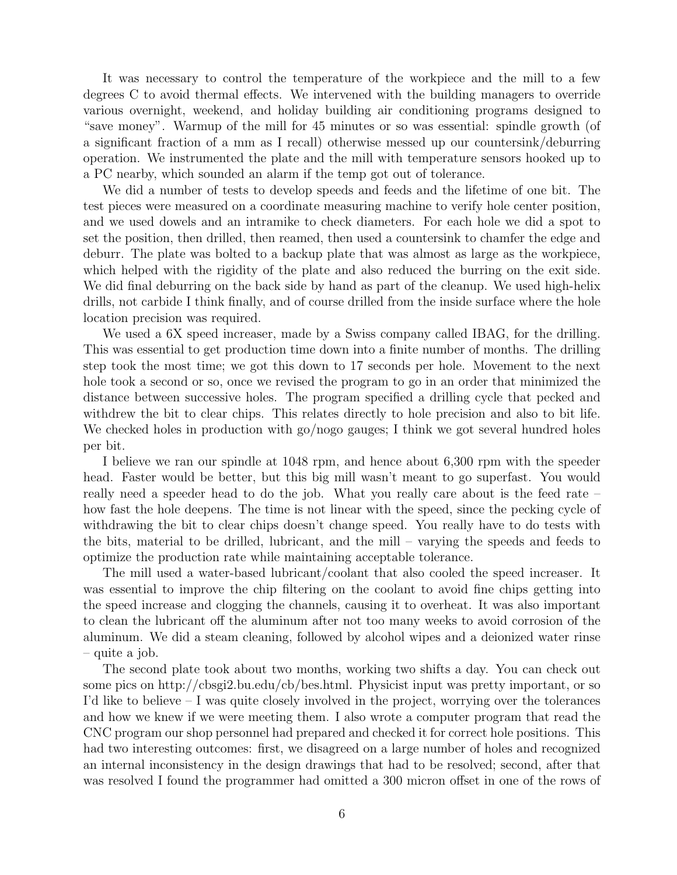It was necessary to control the temperature of the workpiece and the mill to a few degrees C to avoid thermal effects. We intervened with the building managers to override various overnight, weekend, and holiday building air conditioning programs designed to "save money". Warmup of the mill for 45 minutes or so was essential: spindle growth (of a significant fraction of a mm as I recall) otherwise messed up our countersink/deburring operation. We instrumented the plate and the mill with temperature sensors hooked up to a PC nearby, which sounded an alarm if the temp got out of tolerance.

We did a number of tests to develop speeds and feeds and the lifetime of one bit. The test pieces were measured on a coordinate measuring machine to verify hole center position, and we used dowels and an intramike to check diameters. For each hole we did a spot to set the position, then drilled, then reamed, then used a countersink to chamfer the edge and deburr. The plate was bolted to a backup plate that was almost as large as the workpiece, which helped with the rigidity of the plate and also reduced the burring on the exit side. We did final deburring on the back side by hand as part of the cleanup. We used high-helix drills, not carbide I think finally, and of course drilled from the inside surface where the hole location precision was required.

We used a 6X speed increaser, made by a Swiss company called IBAG, for the drilling. This was essential to get production time down into a finite number of months. The drilling step took the most time; we got this down to 17 seconds per hole. Movement to the next hole took a second or so, once we revised the program to go in an order that minimized the distance between successive holes. The program specified a drilling cycle that pecked and withdrew the bit to clear chips. This relates directly to hole precision and also to bit life. We checked holes in production with go/nogo gauges; I think we got several hundred holes per bit.

I believe we ran our spindle at 1048 rpm, and hence about 6,300 rpm with the speeder head. Faster would be better, but this big mill wasn't meant to go superfast. You would really need a speeder head to do the job. What you really care about is the feed rate – how fast the hole deepens. The time is not linear with the speed, since the pecking cycle of withdrawing the bit to clear chips doesn't change speed. You really have to do tests with the bits, material to be drilled, lubricant, and the mill – varying the speeds and feeds to optimize the production rate while maintaining acceptable tolerance.

The mill used a water-based lubricant/coolant that also cooled the speed increaser. It was essential to improve the chip filtering on the coolant to avoid fine chips getting into the speed increase and clogging the channels, causing it to overheat. It was also important to clean the lubricant off the aluminum after not too many weeks to avoid corrosion of the aluminum. We did a steam cleaning, followed by alcohol wipes and a deionized water rinse – quite a job.

The second plate took about two months, working two shifts a day. You can check out some pics on http://cbsgi2.bu.edu/cb/bes.html. Physicist input was pretty important, or so I'd like to believe  $-I$  was quite closely involved in the project, worrying over the tolerances and how we knew if we were meeting them. I also wrote a computer program that read the CNC program our shop personnel had prepared and checked it for correct hole positions. This had two interesting outcomes: first, we disagreed on a large number of holes and recognized an internal inconsistency in the design drawings that had to be resolved; second, after that was resolved I found the programmer had omitted a 300 micron offset in one of the rows of